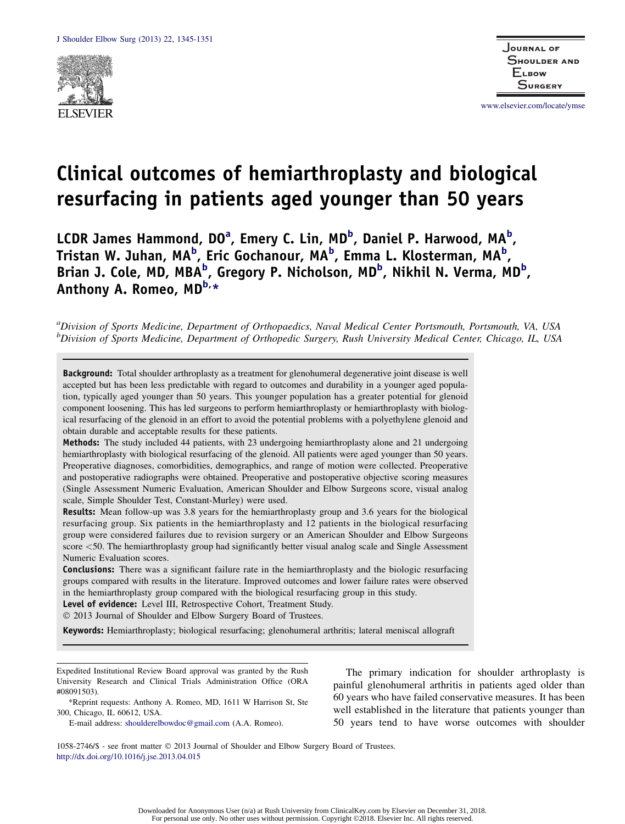

www.elsevier.com/locate/ymse

# Clinical outcomes of hemiarthroplasty and biological resurfacing in patients aged younger than 50 years

LCDR James Hammond, DO<sup>a</sup>, Emery C. Lin, MD<sup>b</sup>, Daniel P. Harwood, MA<sup>b</sup>, Tristan W. Juhan, MA<sup>b</sup>, Eric Gochanour, MA<sup>b</sup>, Emma L. Klosterman, MA<sup>b</sup>, Brian J. Cole, MD, MBA<sup>b</sup>, Gregory P. Nicholson, MD<sup>b</sup>, Nikhil N. Verma, MD<sup>b</sup>, Anthony A. Romeo, MD<sup>b,</sup>\*

<sup>a</sup>Division of Sports Medicine, Department of Orthopaedics, Naval Medical Center Portsmouth, Portsmouth, VA, USA <sup>b</sup>Division of Sports Medicine, Department of Orthopedic Surgery, Rush University Medical Center, Chicago, IL, USA

**Background:** Total shoulder arthroplasty as a treatment for glenohumeral degenerative joint disease is well accepted but has been less predictable with regard to outcomes and durability in a younger aged population, typically aged younger than 50 years. This younger population has a greater potential for glenoid component loosening. This has led surgeons to perform hemiarthroplasty or hemiarthroplasty with biological resurfacing of the glenoid in an effort to avoid the potential problems with a polyethylene glenoid and obtain durable and acceptable results for these patients.

Methods: The study included 44 patients, with 23 undergoing hemiarthroplasty alone and 21 undergoing hemiarthroplasty with biological resurfacing of the glenoid. All patients were aged younger than 50 years. Preoperative diagnoses, comorbidities, demographics, and range of motion were collected. Preoperative and postoperative radiographs were obtained. Preoperative and postoperative objective scoring measures (Single Assessment Numeric Evaluation, American Shoulder and Elbow Surgeons score, visual analog scale, Simple Shoulder Test, Constant-Murley) were used.

Results: Mean follow-up was 3.8 years for the hemiarthroplasty group and 3.6 years for the biological resurfacing group. Six patients in the hemiarthroplasty and 12 patients in the biological resurfacing group were considered failures due to revision surgery or an American Shoulder and Elbow Surgeons score <50. The hemiarthroplasty group had significantly better visual analog scale and Single Assessment Numeric Evaluation scores.

Conclusions: There was a significant failure rate in the hemiarthroplasty and the biologic resurfacing groups compared with results in the literature. Improved outcomes and lower failure rates were observed in the hemiarthroplasty group compared with the biological resurfacing group in this study.

Level of evidence: Level III, Retrospective Cohort, Treatment Study.

2013 Journal of Shoulder and Elbow Surgery Board of Trustees.

Keywords: Hemiarthroplasty; biological resurfacing; glenohumeral arthritis; lateral meniscal allograft

Expedited Institutional Review Board approval was granted by the Rush University Research and Clinical Trials Administration Office (ORA #08091503).

\*Reprint requests: Anthony A. Romeo, MD, 1611 W Harrison St, Ste 300, Chicago, IL 60612, USA.

E-mail address: shoulderelbowdoc@gmail.com (A.A. Romeo).

The primary indication for shoulder arthroplasty is painful glenohumeral arthritis in patients aged older than 60 years who have failed conservative measures. It has been well established in the literature that patients younger than 50 years tend to have worse outcomes with shoulder

1058-2746/\$ - see front matter 2013 Journal of Shoulder and Elbow Surgery Board of Trustees. http://dx.doi.org/10.1016/j.jse.2013.04.015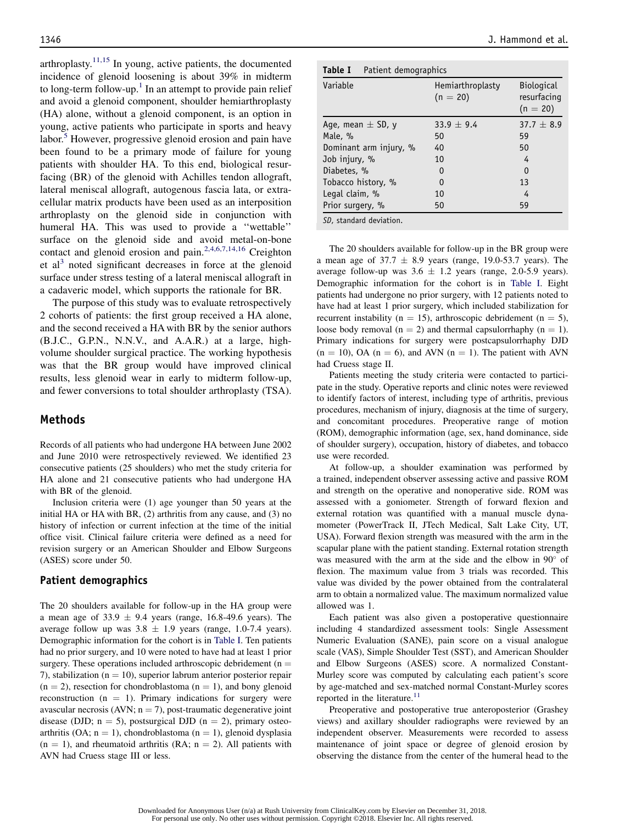arthroplasty.<sup>11,15</sup> In young, active patients, the documented incidence of glenoid loosening is about 39% in midterm to long-term follow-up.<sup>1</sup> In an attempt to provide pain relief and avoid a glenoid component, shoulder hemiarthroplasty (HA) alone, without a glenoid component, is an option in young, active patients who participate in sports and heavy labor.<sup>5</sup> However, progressive glenoid erosion and pain have been found to be a primary mode of failure for young patients with shoulder HA. To this end, biological resurfacing (BR) of the glenoid with Achilles tendon allograft, lateral meniscal allograft, autogenous fascia lata, or extracellular matrix products have been used as an interposition arthroplasty on the glenoid side in conjunction with humeral HA. This was used to provide a "wettable" surface on the glenoid side and avoid metal-on-bone contact and glenoid erosion and pain.<sup>2,4,6,7,14,16</sup> Creighton et  $al<sup>3</sup>$  noted significant decreases in force at the glenoid surface under stress testing of a lateral meniscal allograft in a cadaveric model, which supports the rationale for BR.

The purpose of this study was to evaluate retrospectively 2 cohorts of patients: the first group received a HA alone, and the second received a HA with BR by the senior authors (B.J.C., G.P.N., N.N.V., and A.A.R.) at a large, highvolume shoulder surgical practice. The working hypothesis was that the BR group would have improved clinical results, less glenoid wear in early to midterm follow-up, and fewer conversions to total shoulder arthroplasty (TSA).

## Methods

Records of all patients who had undergone HA between June 2002 and June 2010 were retrospectively reviewed. We identified 23 consecutive patients (25 shoulders) who met the study criteria for HA alone and 21 consecutive patients who had undergone HA with BR of the glenoid.

Inclusion criteria were (1) age younger than 50 years at the initial HA or HA with BR, (2) arthritis from any cause, and (3) no history of infection or current infection at the time of the initial office visit. Clinical failure criteria were defined as a need for revision surgery or an American Shoulder and Elbow Surgeons (ASES) score under 50.

#### Patient demographics

The 20 shoulders available for follow-up in the HA group were a mean age of  $33.9 \pm 9.4$  years (range, 16.8-49.6 years). The average follow up was  $3.8 \pm 1.9$  years (range, 1.0-7.4 years). Demographic information for the cohort is in Table I. Ten patients had no prior surgery, and 10 were noted to have had at least 1 prior surgery. These operations included arthroscopic debridement ( $n =$ 7), stabilization ( $n = 10$ ), superior labrum anterior posterior repair  $(n = 2)$ , resection for chondroblastoma  $(n = 1)$ , and bony glenoid reconstruction  $(n = 1)$ . Primary indications for surgery were avascular necrosis (AVN;  $n = 7$ ), post-traumatic degenerative joint disease (DJD;  $n = 5$ ), postsurgical DJD ( $n = 2$ ), primary osteoarthritis (OA;  $n = 1$ ), chondroblastoma ( $n = 1$ ), glenoid dysplasia  $(n = 1)$ , and rheumatoid arthritis (RA;  $n = 2$ ). All patients with AVN had Cruess stage III or less.

| <b>Table I</b> Patient demographics |                                |                                                |  |  |
|-------------------------------------|--------------------------------|------------------------------------------------|--|--|
| Variable                            | Hemiarthroplasty<br>$(n = 20)$ | <b>Biological</b><br>resurfacing<br>$(n = 20)$ |  |  |
| Age, mean $\pm$ SD, y               | 33.9 $\pm$ 9.4                 | 37.7 $\pm$ 8.9                                 |  |  |
| Male, %                             | 50                             | 59                                             |  |  |
| Dominant arm injury, %              | 40                             | 50                                             |  |  |
| Job injury, %                       | 10                             | 4                                              |  |  |
| Diabetes, %                         | 0                              | $\mathbf{0}$                                   |  |  |
| Tobacco history, %                  |                                | 13                                             |  |  |
| Legal claim, %                      | 10                             | 4                                              |  |  |
| Prior surgery, %                    | 50                             | 59                                             |  |  |
| SD, standard deviation.             |                                |                                                |  |  |

The 20 shoulders available for follow-up in the BR group were a mean age of  $37.7 \pm 8.9$  years (range, 19.0-53.7 years). The average follow-up was  $3.6 \pm 1.2$  years (range, 2.0-5.9 years). Demographic information for the cohort is in Table I. Eight patients had undergone no prior surgery, with 12 patients noted to have had at least 1 prior surgery, which included stabilization for recurrent instability ( $n = 15$ ), arthroscopic debridement ( $n = 5$ ), loose body removal ( $n = 2$ ) and thermal capsulorrhaphy ( $n = 1$ ). Primary indications for surgery were postcapsulorrhaphy DJD  $(n = 10)$ , OA  $(n = 6)$ , and AVN  $(n = 1)$ . The patient with AVN had Cruess stage II.

Patients meeting the study criteria were contacted to participate in the study. Operative reports and clinic notes were reviewed to identify factors of interest, including type of arthritis, previous procedures, mechanism of injury, diagnosis at the time of surgery, and concomitant procedures. Preoperative range of motion (ROM), demographic information (age, sex, hand dominance, side of shoulder surgery), occupation, history of diabetes, and tobacco use were recorded.

At follow-up, a shoulder examination was performed by a trained, independent observer assessing active and passive ROM and strength on the operative and nonoperative side. ROM was assessed with a goniometer. Strength of forward flexion and external rotation was quantified with a manual muscle dynamometer (PowerTrack II, JTech Medical, Salt Lake City, UT, USA). Forward flexion strength was measured with the arm in the scapular plane with the patient standing. External rotation strength was measured with the arm at the side and the elbow in  $90^{\circ}$  of flexion. The maximum value from 3 trials was recorded. This value was divided by the power obtained from the contralateral arm to obtain a normalized value. The maximum normalized value allowed was 1.

Each patient was also given a postoperative questionnaire including 4 standardized assessment tools: Single Assessment Numeric Evaluation (SANE), pain score on a visual analogue scale (VAS), Simple Shoulder Test (SST), and American Shoulder and Elbow Surgeons (ASES) score. A normalized Constant-Murley score was computed by calculating each patient's score by age-matched and sex-matched normal Constant-Murley scores reported in the literature. $11$ 

Preoperative and postoperative true anteroposterior (Grashey views) and axillary shoulder radiographs were reviewed by an independent observer. Measurements were recorded to assess maintenance of joint space or degree of glenoid erosion by observing the distance from the center of the humeral head to the

Downloaded for Anonymous User (n/a) at Rush University from ClinicalKey.com by Elsevier on December 31, 2018. For personal use only. No other uses without permission. Copyright ©2018. Elsevier Inc. All rights reserved.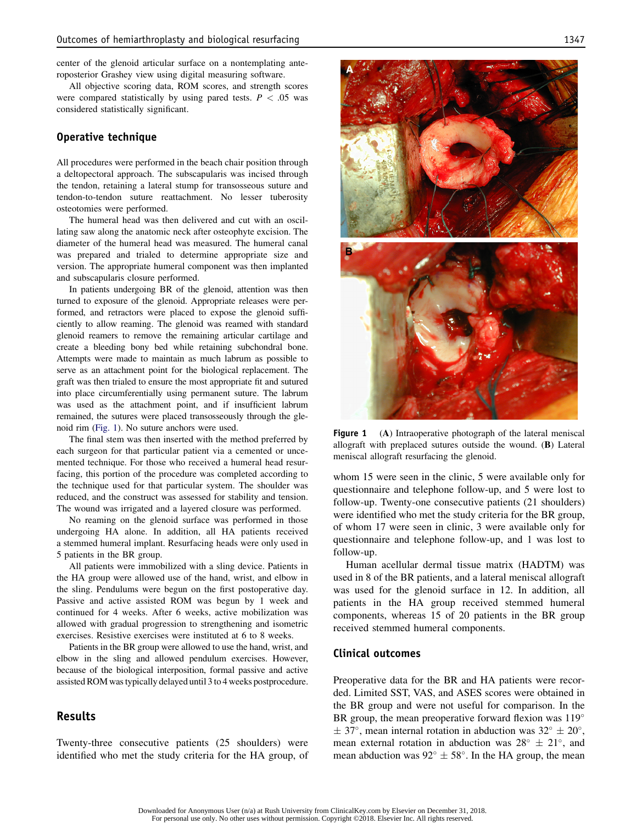center of the glenoid articular surface on a nontemplating anteroposterior Grashey view using digital measuring software.

All objective scoring data, ROM scores, and strength scores were compared statistically by using pared tests.  $P < .05$  was considered statistically significant.

#### Operative technique

All procedures were performed in the beach chair position through a deltopectoral approach. The subscapularis was incised through the tendon, retaining a lateral stump for transosseous suture and tendon-to-tendon suture reattachment. No lesser tuberosity osteotomies were performed.

The humeral head was then delivered and cut with an oscillating saw along the anatomic neck after osteophyte excision. The diameter of the humeral head was measured. The humeral canal was prepared and trialed to determine appropriate size and version. The appropriate humeral component was then implanted and subscapularis closure performed.

In patients undergoing BR of the glenoid, attention was then turned to exposure of the glenoid. Appropriate releases were performed, and retractors were placed to expose the glenoid sufficiently to allow reaming. The glenoid was reamed with standard glenoid reamers to remove the remaining articular cartilage and create a bleeding bony bed while retaining subchondral bone. Attempts were made to maintain as much labrum as possible to serve as an attachment point for the biological replacement. The graft was then trialed to ensure the most appropriate fit and sutured into place circumferentially using permanent suture. The labrum was used as the attachment point, and if insufficient labrum remained, the sutures were placed transosseously through the glenoid rim (Fig. 1). No suture anchors were used.

The final stem was then inserted with the method preferred by each surgeon for that particular patient via a cemented or uncemented technique. For those who received a humeral head resurfacing, this portion of the procedure was completed according to the technique used for that particular system. The shoulder was reduced, and the construct was assessed for stability and tension. The wound was irrigated and a layered closure was performed.

No reaming on the glenoid surface was performed in those undergoing HA alone. In addition, all HA patients received a stemmed humeral implant. Resurfacing heads were only used in 5 patients in the BR group.

All patients were immobilized with a sling device. Patients in the HA group were allowed use of the hand, wrist, and elbow in the sling. Pendulums were begun on the first postoperative day. Passive and active assisted ROM was begun by 1 week and continued for 4 weeks. After 6 weeks, active mobilization was allowed with gradual progression to strengthening and isometric exercises. Resistive exercises were instituted at 6 to 8 weeks.

Patients in the BR group were allowed to use the hand, wrist, and elbow in the sling and allowed pendulum exercises. However, because of the biological interposition, formal passive and active assisted ROM was typically delayed until 3 to 4 weeks postprocedure.

## Results

Twenty-three consecutive patients (25 shoulders) were identified who met the study criteria for the HA group, of



Figure 1 (A) Intraoperative photograph of the lateral meniscal allograft with preplaced sutures outside the wound. (B) Lateral meniscal allograft resurfacing the glenoid.

whom 15 were seen in the clinic, 5 were available only for questionnaire and telephone follow-up, and 5 were lost to follow-up. Twenty-one consecutive patients (21 shoulders) were identified who met the study criteria for the BR group, of whom 17 were seen in clinic, 3 were available only for questionnaire and telephone follow-up, and 1 was lost to follow-up.

Human acellular dermal tissue matrix (HADTM) was used in 8 of the BR patients, and a lateral meniscal allograft was used for the glenoid surface in 12. In addition, all patients in the HA group received stemmed humeral components, whereas 15 of 20 patients in the BR group received stemmed humeral components.

#### Clinical outcomes

Preoperative data for the BR and HA patients were recorded. Limited SST, VAS, and ASES scores were obtained in the BR group and were not useful for comparison. In the BR group, the mean preoperative forward flexion was  $119^{\circ}$  $\pm$  37°, mean internal rotation in abduction was 32°  $\pm$  20°, mean external rotation in abduction was  $28^{\circ} \pm 21^{\circ}$ , and mean abduction was  $92^{\circ} \pm 58^{\circ}$ . In the HA group, the mean

Downloaded for Anonymous User (n/a) at Rush University from ClinicalKey.com by Elsevier on December 31, 2018. For personal use only. No other uses without permission. Copyright ©2018. Elsevier Inc. All rights reserved.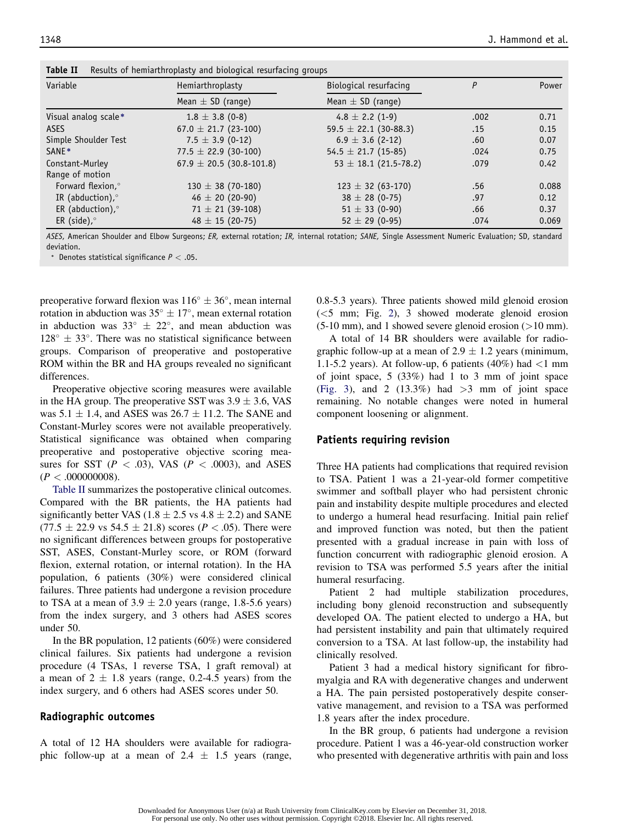| Variable                      | Hemiarthroplasty<br>Mean $\pm$ SD (range) | Biological resurfacing<br>Mean $\pm$ SD (range) | P    | Power |
|-------------------------------|-------------------------------------------|-------------------------------------------------|------|-------|
|                               |                                           |                                                 |      |       |
| <b>ASES</b>                   | $67.0 \pm 21.7$ (23-100)                  | $59.5 \pm 22.1$ (30-88.3)                       | .15  | 0.15  |
| Simple Shoulder Test          | $7.5 \pm 3.9$ (0-12)                      | $6.9 \pm 3.6$ (2-12)                            | .60  | 0.07  |
| SANE <sup>*</sup>             | $77.5 \pm 22.9$ (30-100)                  | $54.5 \pm 21.7$ (15-85)                         | .024 | 0.75  |
| Constant-Murley               | $67.9 \pm 20.5$ (30.8-101.8)              | $53 \pm 18.1$ (21.5-78.2)                       | .079 | 0.42  |
| Range of motion               |                                           |                                                 |      |       |
| Forward flexion, <sup>o</sup> | $130 \pm 38$ (70-180)                     | $123 \pm 32 (63 - 170)$                         | .56  | 0.088 |
| IR (abduction), $\degree$     | $46 \pm 20$ (20-90)                       | $38 \pm 28$ (0-75)                              | .97  | 0.12  |
| ER (abduction), $\degree$     | $71 \pm 21$ (39-108)                      | $51 \pm 33$ (0-90)                              | .66  | 0.37  |
| ER (side), $^{\circ}$         | $48 \pm 15 (20-75)$                       | $52 \pm 29$ (0-95)                              | .074 | 0.069 |

**Table II** Results of hemiarthroplasty and biological resurfacing groups

ASES, American Shoulder and Elbow Surgeons; ER, external rotation; IR, internal rotation; SANE, Single Assessment Numeric Evaluation; SD, standard deviation.

Denotes statistical significance  $P < .05$ .

preoperative forward flexion was  $116^{\circ} \pm 36^{\circ}$ , mean internal rotation in abduction was  $35^{\circ} \pm 17^{\circ}$ , mean external rotation in abduction was  $33^{\circ} \pm 22^{\circ}$ , and mean abduction was  $128^{\circ} \pm 33^{\circ}$ . There was no statistical significance between groups. Comparison of preoperative and postoperative ROM within the BR and HA groups revealed no significant differences.

Preoperative objective scoring measures were available in the HA group. The preoperative SST was  $3.9 \pm 3.6$ , VAS was  $5.1 \pm 1.4$ , and ASES was  $26.7 \pm 11.2$ . The SANE and Constant-Murley scores were not available preoperatively. Statistical significance was obtained when comparing preoperative and postoperative objective scoring measures for SST ( $P < .03$ ), VAS ( $P < .0003$ ), and ASES  $(P < .000000008)$ .

Table II summarizes the postoperative clinical outcomes. Compared with the BR patients, the HA patients had significantly better VAS (1.8  $\pm$  2.5 vs 4.8  $\pm$  2.2) and SANE  $(77.5 \pm 22.9 \text{ vs } 54.5 \pm 21.8) \text{ scores } (P < .05)$ . There were no significant differences between groups for postoperative SST, ASES, Constant-Murley score, or ROM (forward flexion, external rotation, or internal rotation). In the HA population, 6 patients (30%) were considered clinical failures. Three patients had undergone a revision procedure to TSA at a mean of  $3.9 \pm 2.0$  years (range, 1.8-5.6 years) from the index surgery, and 3 others had ASES scores under 50.

In the BR population, 12 patients (60%) were considered clinical failures. Six patients had undergone a revision procedure (4 TSAs, 1 reverse TSA, 1 graft removal) at a mean of  $2 \pm 1.8$  years (range, 0.2-4.5 years) from the index surgery, and 6 others had ASES scores under 50.

## Radiographic outcomes

A total of 12 HA shoulders were available for radiographic follow-up at a mean of  $2.4 \pm 1.5$  years (range, 0.8-5.3 years). Three patients showed mild glenoid erosion  $(<5$  mm; Fig. 2), 3 showed moderate glenoid erosion  $(5-10 \text{ mm})$ , and 1 showed severe glenoid erosion ( $>10 \text{ mm}$ ).

A total of 14 BR shoulders were available for radiographic follow-up at a mean of  $2.9 \pm 1.2$  years (minimum, 1.1-5.2 years). At follow-up, 6 patients (40%) had  $\langle$ 1 mm of joint space, 5 (33%) had 1 to 3 mm of joint space (Fig. 3), and 2  $(13.3\%)$  had  $>3$  mm of joint space remaining. No notable changes were noted in humeral component loosening or alignment.

#### Patients requiring revision

Three HA patients had complications that required revision to TSA. Patient 1 was a 21-year-old former competitive swimmer and softball player who had persistent chronic pain and instability despite multiple procedures and elected to undergo a humeral head resurfacing. Initial pain relief and improved function was noted, but then the patient presented with a gradual increase in pain with loss of function concurrent with radiographic glenoid erosion. A revision to TSA was performed 5.5 years after the initial humeral resurfacing.

Patient 2 had multiple stabilization procedures, including bony glenoid reconstruction and subsequently developed OA. The patient elected to undergo a HA, but had persistent instability and pain that ultimately required conversion to a TSA. At last follow-up, the instability had clinically resolved.

Patient 3 had a medical history significant for fibromyalgia and RA with degenerative changes and underwent a HA. The pain persisted postoperatively despite conservative management, and revision to a TSA was performed 1.8 years after the index procedure.

In the BR group, 6 patients had undergone a revision procedure. Patient 1 was a 46-year-old construction worker who presented with degenerative arthritis with pain and loss

Downloaded for Anonymous User (n/a) at Rush University from ClinicalKey.com by Elsevier on December 31, 2018. For personal use only. No other uses without permission. Copyright ©2018. Elsevier Inc. All rights reserved.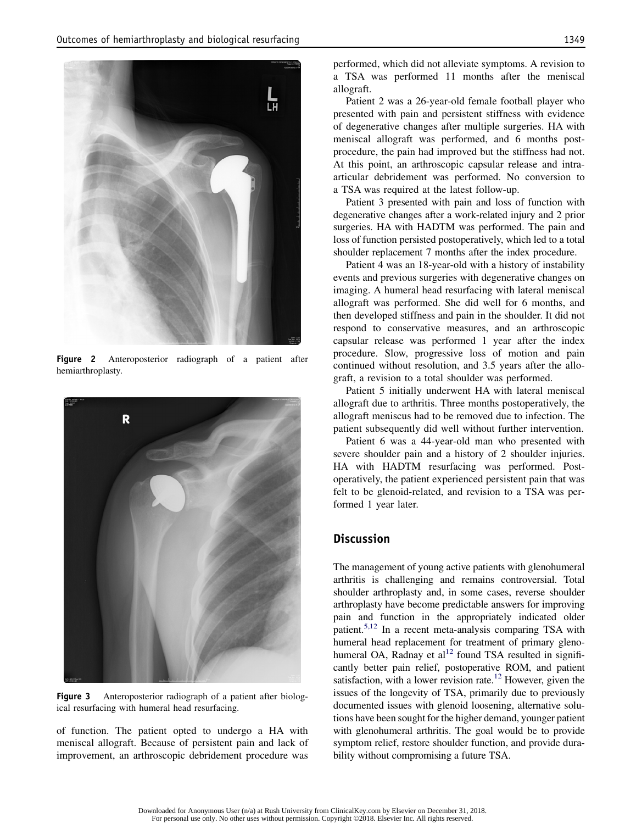

Figure 2 Anteroposterior radiograph of a patient after hemiarthroplasty.



Figure 3 Anteroposterior radiograph of a patient after biological resurfacing with humeral head resurfacing.

of function. The patient opted to undergo a HA with meniscal allograft. Because of persistent pain and lack of improvement, an arthroscopic debridement procedure was

performed, which did not alleviate symptoms. A revision to a TSA was performed 11 months after the meniscal allograft.

Patient 2 was a 26-year-old female football player who presented with pain and persistent stiffness with evidence of degenerative changes after multiple surgeries. HA with meniscal allograft was performed, and 6 months postprocedure, the pain had improved but the stiffness had not. At this point, an arthroscopic capsular release and intraarticular debridement was performed. No conversion to a TSA was required at the latest follow-up.

Patient 3 presented with pain and loss of function with degenerative changes after a work-related injury and 2 prior surgeries. HA with HADTM was performed. The pain and loss of function persisted postoperatively, which led to a total shoulder replacement 7 months after the index procedure.

Patient 4 was an 18-year-old with a history of instability events and previous surgeries with degenerative changes on imaging. A humeral head resurfacing with lateral meniscal allograft was performed. She did well for 6 months, and then developed stiffness and pain in the shoulder. It did not respond to conservative measures, and an arthroscopic capsular release was performed 1 year after the index procedure. Slow, progressive loss of motion and pain continued without resolution, and 3.5 years after the allograft, a revision to a total shoulder was performed.

Patient 5 initially underwent HA with lateral meniscal allograft due to arthritis. Three months postoperatively, the allograft meniscus had to be removed due to infection. The patient subsequently did well without further intervention.

Patient 6 was a 44-year-old man who presented with severe shoulder pain and a history of 2 shoulder injuries. HA with HADTM resurfacing was performed. Postoperatively, the patient experienced persistent pain that was felt to be glenoid-related, and revision to a TSA was performed 1 year later.

# **Discussion**

The management of young active patients with glenohumeral arthritis is challenging and remains controversial. Total shoulder arthroplasty and, in some cases, reverse shoulder arthroplasty have become predictable answers for improving pain and function in the appropriately indicated older patient.<sup>5,12</sup> In a recent meta-analysis comparing TSA with humeral head replacement for treatment of primary glenohumeral OA, Radnay et al<sup>12</sup> found TSA resulted in significantly better pain relief, postoperative ROM, and patient satisfaction, with a lower revision rate.<sup>12</sup> However, given the issues of the longevity of TSA, primarily due to previously documented issues with glenoid loosening, alternative solutions have been sought for the higher demand, younger patient with glenohumeral arthritis. The goal would be to provide symptom relief, restore shoulder function, and provide durability without compromising a future TSA.

Downloaded for Anonymous User (n/a) at Rush University from ClinicalKey.com by Elsevier on December 31, 2018. For personal use only. No other uses without permission. Copyright ©2018. Elsevier Inc. All rights reserved.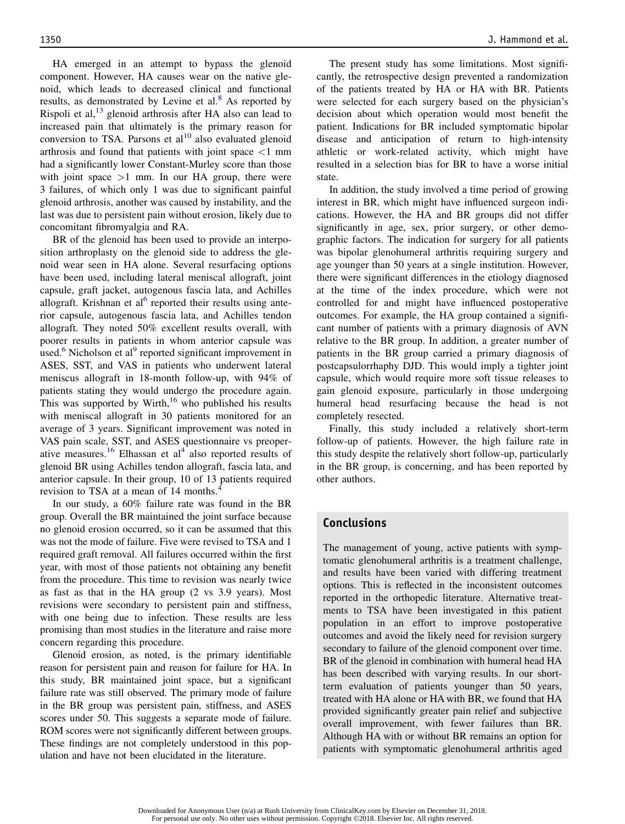HA emerged in an attempt to bypass the glenoid component. However, HA causes wear on the native glenoid, which leads to decreased clinical and functional results, as demonstrated by Levine et al. $8$  As reported by Rispoli et al,<sup>13</sup> glenoid arthrosis after HA also can lead to increased pain that ultimately is the primary reason for conversion to TSA. Parsons et  $al<sup>10</sup>$  also evaluated glenoid arthrosis and found that patients with joint space <1 mm had a significantly lower Constant-Murley score than those with joint space  $>1$  mm. In our HA group, there were 3 failures, of which only 1 was due to significant painful glenoid arthrosis, another was caused by instability, and the last was due to persistent pain without erosion, likely due to concomitant fibromyalgia and RA.

BR of the glenoid has been used to provide an interposition arthroplasty on the glenoid side to address the glenoid wear seen in HA alone. Several resurfacing options have been used, including lateral meniscal allograft, joint capsule, graft jacket, autogenous fascia lata, and Achilles allograft. Krishnan et al<sup>6</sup> reported their results using anterior capsule, autogenous fascia lata, and Achilles tendon allograft. They noted 50% excellent results overall, with poorer results in patients in whom anterior capsule was used.<sup>6</sup> Nicholson et al<sup>9</sup> reported significant improvement in ASES, SST, and VAS in patients who underwent lateral meniscus allograft in 18-month follow-up, with 94% of patients stating they would undergo the procedure again. This was supported by Wirth, $16$  who published his results with meniscal allograft in 30 patients monitored for an average of 3 years. Significant improvement was noted in VAS pain scale, SST, and ASES questionnaire vs preoperative measures.<sup>16</sup> Elhassan et al<sup>4</sup> also reported results of glenoid BR using Achilles tendon allograft, fascia lata, and anterior capsule. In their group, 10 of 13 patients required revision to TSA at a mean of 14 months.<sup>4</sup>

In our study, a 60% failure rate was found in the BR group. Overall the BR maintained the joint surface because no glenoid erosion occurred, so it can be assumed that this was not the mode of failure. Five were revised to TSA and 1 required graft removal. All failures occurred within the first year, with most of those patients not obtaining any benefit from the procedure. This time to revision was nearly twice as fast as that in the HA group (2 vs 3.9 years). Most revisions were secondary to persistent pain and stiffness, with one being due to infection. These results are less promising than most studies in the literature and raise more concern regarding this procedure.

Glenoid erosion, as noted, is the primary identifiable reason for persistent pain and reason for failure for HA. In this study, BR maintained joint space, but a significant failure rate was still observed. The primary mode of failure in the BR group was persistent pain, stiffness, and ASES scores under 50. This suggests a separate mode of failure. ROM scores were not significantly different between groups. These findings are not completely understood in this population and have not been elucidated in the literature.

The present study has some limitations. Most significantly, the retrospective design prevented a randomization of the patients treated by HA or HA with BR. Patients were selected for each surgery based on the physician's decision about which operation would most benefit the patient. Indications for BR included symptomatic bipolar disease and anticipation of return to high-intensity athletic or work-related activity, which might have resulted in a selection bias for BR to have a worse initial state.

In addition, the study involved a time period of growing interest in BR, which might have influenced surgeon indications. However, the HA and BR groups did not differ significantly in age, sex, prior surgery, or other demographic factors. The indication for surgery for all patients was bipolar glenohumeral arthritis requiring surgery and age younger than 50 years at a single institution. However, there were significant differences in the etiology diagnosed at the time of the index procedure, which were not controlled for and might have influenced postoperative outcomes. For example, the HA group contained a significant number of patients with a primary diagnosis of AVN relative to the BR group. In addition, a greater number of patients in the BR group carried a primary diagnosis of postcapsulorrhaphy DJD. This would imply a tighter joint capsule, which would require more soft tissue releases to gain glenoid exposure, particularly in those undergoing humeral head resurfacing because the head is not completely resected.

Finally, this study included a relatively short-term follow-up of patients. However, the high failure rate in this study despite the relatively short follow-up, particularly in the BR group, is concerning, and has been reported by other authors.

## Conclusions

The management of young, active patients with symptomatic glenohumeral arthritis is a treatment challenge, and results have been varied with differing treatment options. This is reflected in the inconsistent outcomes reported in the orthopedic literature. Alternative treatments to TSA have been investigated in this patient population in an effort to improve postoperative outcomes and avoid the likely need for revision surgery secondary to failure of the glenoid component over time. BR of the glenoid in combination with humeral head HA has been described with varying results. In our shortterm evaluation of patients younger than 50 years, treated with HA alone or HA with BR, we found that HA provided significantly greater pain relief and subjective overall improvement, with fewer failures than BR. Although HA with or without BR remains an option for patients with symptomatic glenohumeral arthritis aged

Downloaded for Anonymous User (n/a) at Rush University from ClinicalKey.com by Elsevier on December 31, 2018. For personal use only. No other uses without permission. Copyright ©2018. Elsevier Inc. All rights reserved.